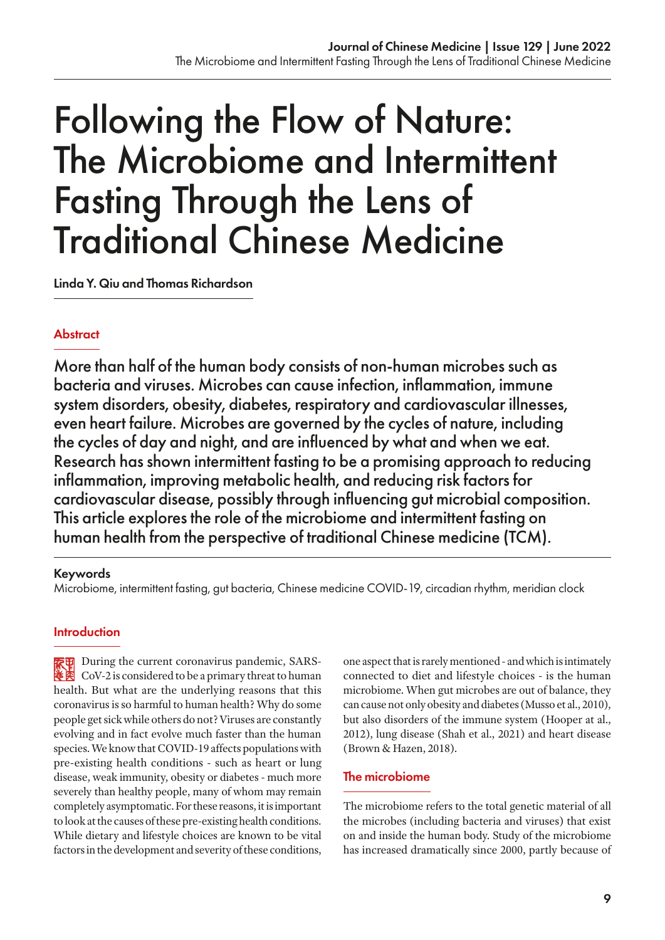# Following the Flow of Nature: The Microbiome and Intermittent Fasting Through the Lens of Traditional Chinese Medicine

Linda Y. Qiu and Thomas Richardson

# **Abstract**

More than half of the human body consists of non-human microbes such as bacteria and viruses. Microbes can cause infection, inflammation, immune system disorders, obesity, diabetes, respiratory and cardiovascular illnesses, even heart failure. Microbes are governed by the cycles of nature, including the cycles of day and night, and are influenced by what and when we eat. Research has shown intermittent fasting to be a promising approach to reducing inflammation, improving metabolic health, and reducing risk factors for cardiovascular disease, possibly through influencing gut microbial composition. This article explores the role of the microbiome and intermittent fasting on human health from the perspective of traditional Chinese medicine (TCM).

#### Keywords

Microbiome, intermittent fasting, gut bacteria, Chinese medicine COVID-19, circadian rhythm, meridian clock

# **Introduction**

**D** During the current coronavirus pandemic, SARS-Cov-2 is considered to be a primary threat to human health. But what are the underlying reasons that this coronavirus is so harmful to human health? Why do some people get sick while others do not? Viruses are constantly evolving and in fact evolve much faster than the human species. We know that COVID-19 affects populations with pre-existing health conditions - such as heart or lung disease, weak immunity, obesity or diabetes - much more severely than healthy people, many of whom may remain completely asymptomatic. For these reasons, it is important to look at the causes of these pre-existing health conditions. While dietary and lifestyle choices are known to be vital factors in the development and severity of these conditions,

one aspect that is rarely mentioned - and which is intimately connected to diet and lifestyle choices - is the human microbiome. When gut microbes are out of balance, they can cause not only obesity and diabetes (Musso et al., 2010), but also disorders of the immune system (Hooper at al., 2012), lung disease (Shah et al., 2021) and heart disease (Brown & Hazen, 2018).

# The microbiome

The microbiome refers to the total genetic material of all the microbes (including bacteria and viruses) that exist on and inside the human body. Study of the microbiome has increased dramatically since 2000, partly because of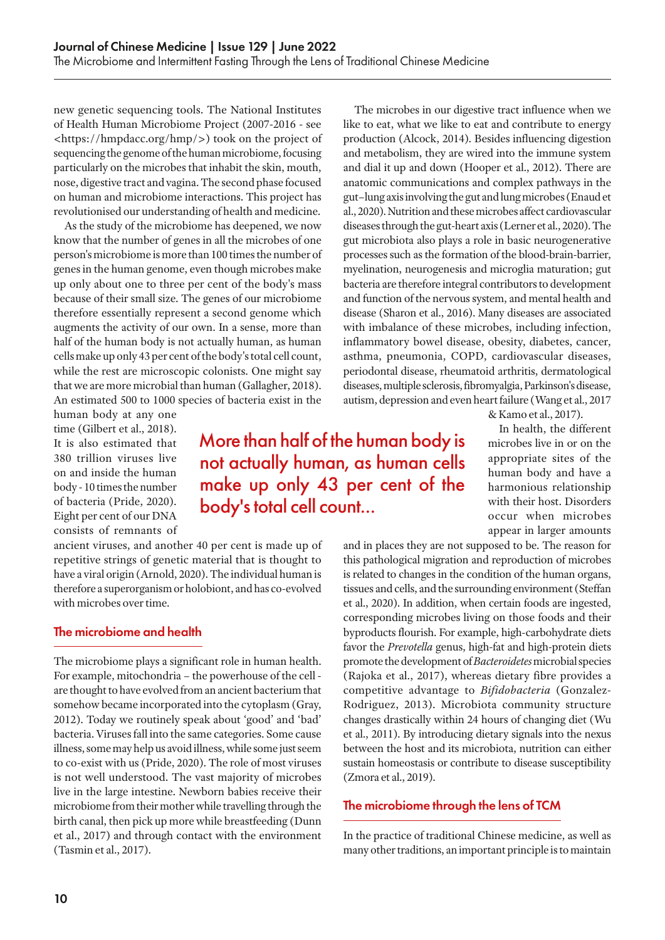new genetic sequencing tools. The National Institutes of Health Human Microbiome Project (2007-2016 - see <https://hmpdacc.org/hmp/>) took on the project of sequencing the genome of the human microbiome, focusing particularly on the microbes that inhabit the skin, mouth, nose, digestive tract and vagina. The second phase focused on human and microbiome interactions. This project has revolutionised our understanding of health and medicine.

As the study of the microbiome has deepened, we now know that the number of genes in all the microbes of one person's microbiome is more than 100 times the number of genes in the human genome, even though microbes make up only about one to three per cent of the body's mass because of their small size. The genes of our microbiome therefore essentially represent a second genome which augments the activity of our own. In a sense, more than half of the human body is not actually human, as human cells make up only 43 per cent of the body's total cell count, while the rest are microscopic colonists. One might say that we are more microbial than human (Gallagher, 2018). An estimated 500 to 1000 species of bacteria exist in the

The microbes in our digestive tract influence when we like to eat, what we like to eat and contribute to energy production (Alcock, 2014). Besides influencing digestion and metabolism, they are wired into the immune system and dial it up and down (Hooper et al., 2012). There are anatomic communications and complex pathways in the gut–lung axis involving the gut and lung microbes (Enaud et al., 2020). Nutrition and these microbes affect cardiovascular diseases through the gut-heart axis (Lerner et al., 2020). The gut microbiota also plays a role in basic neurogenerative processes such as the formation of the blood-brain-barrier, myelination, neurogenesis and microglia maturation; gut bacteria are therefore integral contributors to development and function of the nervous system, and mental health and disease (Sharon et al., 2016). Many diseases are associated with imbalance of these microbes, including infection, inflammatory bowel disease, obesity, diabetes, cancer, asthma, pneumonia, COPD, cardiovascular diseases, periodontal disease, rheumatoid arthritis, dermatological diseases, multiple sclerosis, fibromyalgia, Parkinson's disease, autism, depression and even heart failure (Wang et al., 2017

human body at any one time (Gilbert et al., 2018). It is also estimated that 380 trillion viruses live on and inside the human body - 10 times the number of bacteria (Pride, 2020). Eight per cent of our DNA consists of remnants of

More than half of the human body is not actually human, as human cells make up only 43 per cent of the body's total cell count...

ancient viruses, and another 40 per cent is made up of repetitive strings of genetic material that is thought to have a viral origin (Arnold, 2020). The individual human is therefore a superorganism or holobiont, and has co-evolved with microbes over time.

# The microbiome and health

The microbiome plays a significant role in human health. For example, mitochondria – the powerhouse of the cell are thought to have evolved from an ancient bacterium that somehow became incorporated into the cytoplasm (Gray, 2012). Today we routinely speak about 'good' and 'bad' bacteria. Viruses fall into the same categories. Some cause illness, some may help us avoid illness, while some just seem to co-exist with us (Pride, 2020). The role of most viruses is not well understood. The vast majority of microbes live in the large intestine. Newborn babies receive their microbiome from their mother while travelling through the birth canal, then pick up more while breastfeeding (Dunn et al., 2017) and through contact with the environment (Tasmin et al., 2017).

& Kamo et al., 2017). In health, the different

microbes live in or on the appropriate sites of the human body and have a harmonious relationship with their host. Disorders occur when microbes appear in larger amounts

and in places they are not supposed to be. The reason for this pathological migration and reproduction of microbes is related to changes in the condition of the human organs, tissues and cells, and the surrounding environment (Steffan et al., 2020). In addition, when certain foods are ingested, corresponding microbes living on those foods and their byproducts flourish. For example, high-carbohydrate diets favor the *Prevotella* genus, high-fat and high-protein diets promote the development of *Bacteroidetes* microbial species (Rajoka et al., 2017), whereas dietary fibre provides a competitive advantage to *Bifidobacteria* (Gonzalez-Rodriguez, 2013). Microbiota community structure changes drastically within 24 hours of changing diet (Wu et al., 2011). By introducing dietary signals into the nexus between the host and its microbiota, nutrition can either sustain homeostasis or contribute to disease susceptibility (Zmora et al., 2019).

#### The microbiome through the lens of TCM

In the practice of traditional Chinese medicine, as well as many other traditions, an important principle is to maintain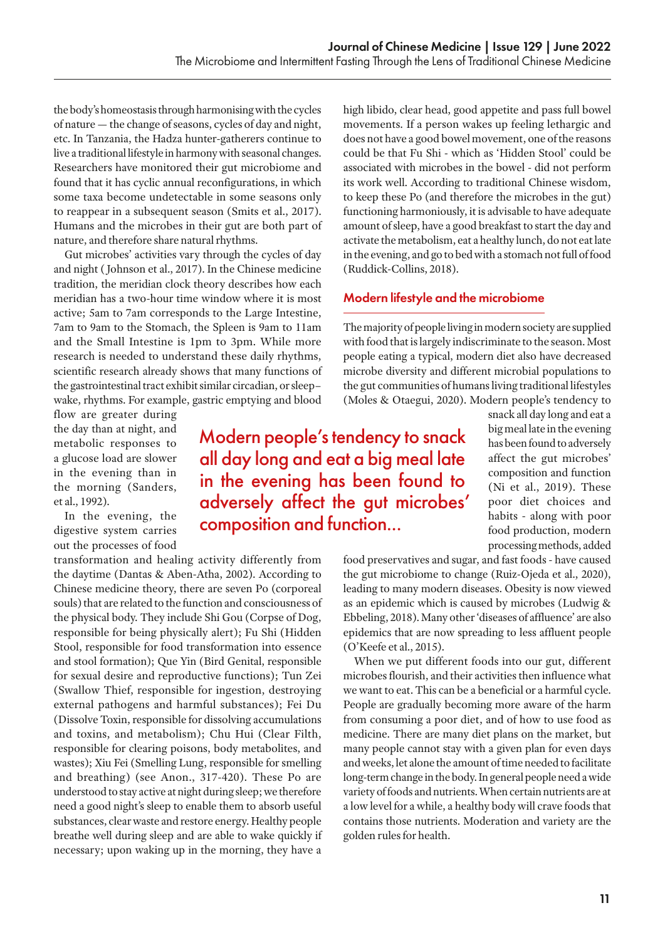the body's homeostasis through harmonising with the cycles of nature — the change of seasons, cycles of day and night, etc. In Tanzania, the Hadza hunter-gatherers continue to live a traditional lifestyle in harmony with seasonal changes. Researchers have monitored their gut microbiome and found that it has cyclic annual reconfigurations, in which some taxa become undetectable in some seasons only to reappear in a subsequent season (Smits et al., 2017). Humans and the microbes in their gut are both part of nature, and therefore share natural rhythms.

Gut microbes' activities vary through the cycles of day and night ( Johnson et al., 2017). In the Chinese medicine tradition, the meridian clock theory describes how each meridian has a two-hour time window where it is most active; 5am to 7am corresponds to the Large Intestine, 7am to 9am to the Stomach, the Spleen is 9am to 11am and the Small Intestine is 1pm to 3pm. While more research is needed to understand these daily rhythms, scientific research already shows that many functions of the gastrointestinal tract exhibit similar circadian, or sleep– wake, rhythms. For example, gastric emptying and blood

flow are greater during the day than at night, and metabolic responses to a glucose load are slower in the evening than in the morning (Sanders, et al., 1992).

In the evening, the digestive system carries out the processes of food

transformation and healing activity differently from the daytime (Dantas & Aben-Atha, 2002). According to Chinese medicine theory, there are seven Po (corporeal souls) that are related to the function and consciousness of the physical body. They include Shi Gou (Corpse of Dog, responsible for being physically alert); Fu Shi (Hidden Stool, responsible for food transformation into essence and stool formation); Que Yin (Bird Genital, responsible for sexual desire and reproductive functions); Tun Zei (Swallow Thief, responsible for ingestion, destroying external pathogens and harmful substances); Fei Du (Dissolve Toxin, responsible for dissolving accumulations and toxins, and metabolism); Chu Hui (Clear Filth, responsible for clearing poisons, body metabolites, and wastes); Xiu Fei (Smelling Lung, responsible for smelling and breathing) (see Anon., 317-420). These Po are understood to stay active at night during sleep; we therefore need a good night's sleep to enable them to absorb useful substances, clear waste and restore energy. Healthy people breathe well during sleep and are able to wake quickly if necessary; upon waking up in the morning, they have a

high libido, clear head, good appetite and pass full bowel movements. If a person wakes up feeling lethargic and does not have a good bowel movement, one of the reasons could be that Fu Shi - which as 'Hidden Stool' could be associated with microbes in the bowel - did not perform its work well. According to traditional Chinese wisdom, to keep these Po (and therefore the microbes in the gut) functioning harmoniously, it is advisable to have adequate amount of sleep, have a good breakfast to start the day and activate the metabolism, eat a healthy lunch, do not eat late in the evening, and go to bed with a stomach not full of food (Ruddick-Collins, 2018).

# Modern lifestyle and the microbiome

The majority of people living in modern society are supplied with food that is largely indiscriminate to the season. Most people eating a typical, modern diet also have decreased microbe diversity and different microbial populations to the gut communities of humans living traditional lifestyles (Moles & Otaegui, 2020). Modern people's tendency to

Modern people's tendency to snack all day long and eat a big meal late in the evening has been found to adversely affect the gut microbes' composition and function...

snack all day long and eat a big meal late in the evening has been found to adversely affect the gut microbes' composition and function (Ni et al., 2019). These poor diet choices and habits - along with poor food production, modern processing methods, added

food preservatives and sugar, and fast foods - have caused the gut microbiome to change (Ruiz-Ojeda et al., 2020), leading to many modern diseases. Obesity is now viewed as an epidemic which is caused by microbes (Ludwig & Ebbeling, 2018). Many other 'diseases of affluence' are also epidemics that are now spreading to less affluent people (O'Keefe et al., 2015).

When we put different foods into our gut, different microbes flourish, and their activities then influence what we want to eat. This can be a beneficial or a harmful cycle. People are gradually becoming more aware of the harm from consuming a poor diet, and of how to use food as medicine. There are many diet plans on the market, but many people cannot stay with a given plan for even days and weeks, let alone the amount of time needed to facilitate long-term change in the body. In general people need a wide variety of foods and nutrients. When certain nutrients are at a low level for a while, a healthy body will crave foods that contains those nutrients. Moderation and variety are the golden rules for health.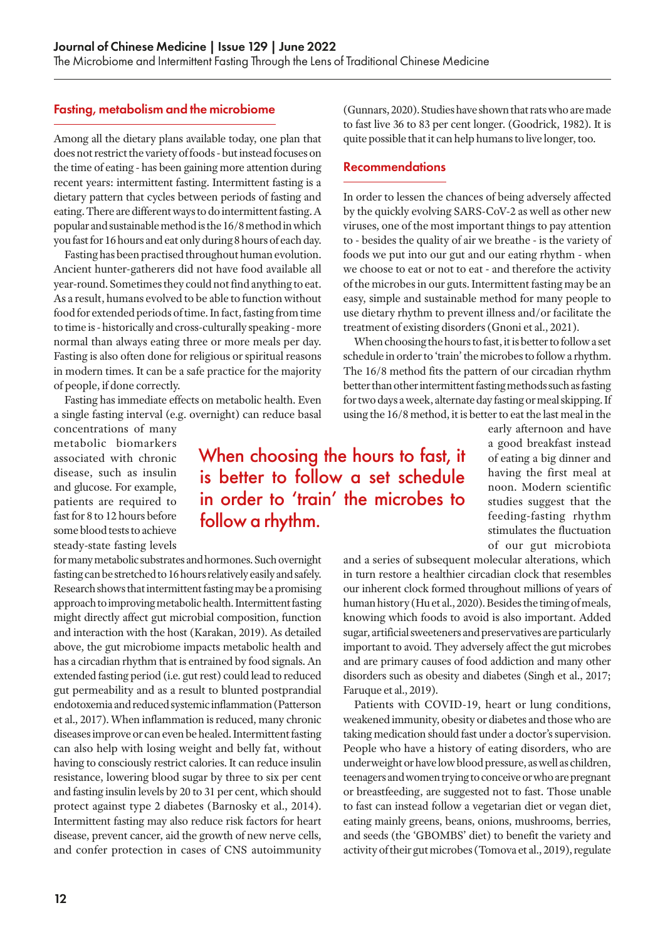#### Fasting, metabolism and the microbiome

Among all the dietary plans available today, one plan that does not restrict the variety of foods - but instead focuses on the time of eating - has been gaining more attention during recent years: intermittent fasting. Intermittent fasting is a dietary pattern that cycles between periods of fasting and eating. There are different ways to do intermittent fasting. A popular and sustainable method is the 16/8 method in which you fast for 16 hours and eat only during 8 hours of each day.

Fasting has been practised throughout human evolution. Ancient hunter-gatherers did not have food available all year-round. Sometimes they could not find anything to eat. As a result, humans evolved to be able to function without food for extended periods of time. In fact, fasting from time to time is - historically and cross-culturally speaking - more normal than always eating three or more meals per day. Fasting is also often done for religious or spiritual reasons in modern times. It can be a safe practice for the majority of people, if done correctly.

Fasting has immediate effects on metabolic health. Even a single fasting interval (e.g. overnight) can reduce basal

concentrations of many metabolic biomarkers associated with chronic disease, such as insulin and glucose. For example, patients are required to fast for 8 to 12 hours before some blood tests to achieve steady-state fasting levels

# When choosing the hours to fast, it is better to follow a set schedule in order to 'train' the microbes to follow a rhythm.

for many metabolic substrates and hormones. Such overnight fasting can be stretched to 16 hours relatively easily and safely. Research shows that intermittent fasting may be a promising approach to improving metabolic health. Intermittent fasting might directly affect gut microbial composition, function and interaction with the host (Karakan, 2019). As detailed above, the gut microbiome impacts metabolic health and has a circadian rhythm that is entrained by food signals. An extended fasting period (i.e. gut rest) could lead to reduced gut permeability and as a result to blunted postprandial endotoxemia and reduced systemic inflammation (Patterson et al., 2017). When inflammation is reduced, many chronic diseases improve or can even be healed. Intermittent fasting can also help with losing weight and belly fat, without having to consciously restrict calories. It can reduce insulin resistance, lowering blood sugar by three to six per cent and fasting insulin levels by 20 to 31 per cent, which should protect against type 2 diabetes (Barnosky et al., 2014). Intermittent fasting may also reduce risk factors for heart disease, prevent cancer, aid the growth of new nerve cells, and confer protection in cases of CNS autoimmunity

(Gunnars, 2020). Studies have shown that rats who are made to fast live 36 to 83 per cent longer. (Goodrick, 1982). It is quite possible that it can help humans to live longer, too.

#### Recommendations

In order to lessen the chances of being adversely affected by the quickly evolving SARS-CoV-2 as well as other new viruses, one of the most important things to pay attention to - besides the quality of air we breathe - is the variety of foods we put into our gut and our eating rhythm - when we choose to eat or not to eat - and therefore the activity of the microbes in our guts. Intermittent fasting may be an easy, simple and sustainable method for many people to use dietary rhythm to prevent illness and/or facilitate the treatment of existing disorders (Gnoni et al., 2021).

When choosing the hours to fast, it is better to follow a set schedule in order to 'train' the microbes to follow a rhythm. The 16/8 method fits the pattern of our circadian rhythm better than other intermittent fasting methods such as fasting for two days a week, alternate day fasting or meal skipping. If using the 16/8 method, it is better to eat the last meal in the

> early afternoon and have a good breakfast instead of eating a big dinner and having the first meal at noon. Modern scientific studies suggest that the feeding-fasting rhythm stimulates the fluctuation of our gut microbiota

and a series of subsequent molecular alterations, which in turn restore a healthier circadian clock that resembles our inherent clock formed throughout millions of years of human history (Hu et al., 2020). Besides the timing of meals, knowing which foods to avoid is also important. Added sugar, artificial sweeteners and preservatives are particularly important to avoid. They adversely affect the gut microbes and are primary causes of food addiction and many other disorders such as obesity and diabetes (Singh et al., 2017; Faruque et al., 2019).

Patients with COVID-19, heart or lung conditions, weakened immunity, obesity or diabetes and those who are taking medication should fast under a doctor's supervision. People who have a history of eating disorders, who are underweight or have low blood pressure, as well as children, teenagers and women trying to conceive or who are pregnant or breastfeeding, are suggested not to fast. Those unable to fast can instead follow a vegetarian diet or vegan diet, eating mainly greens, beans, onions, mushrooms, berries, and seeds (the 'GBOMBS' diet) to benefit the variety and activity of their gut microbes (Tomova et al., 2019), regulate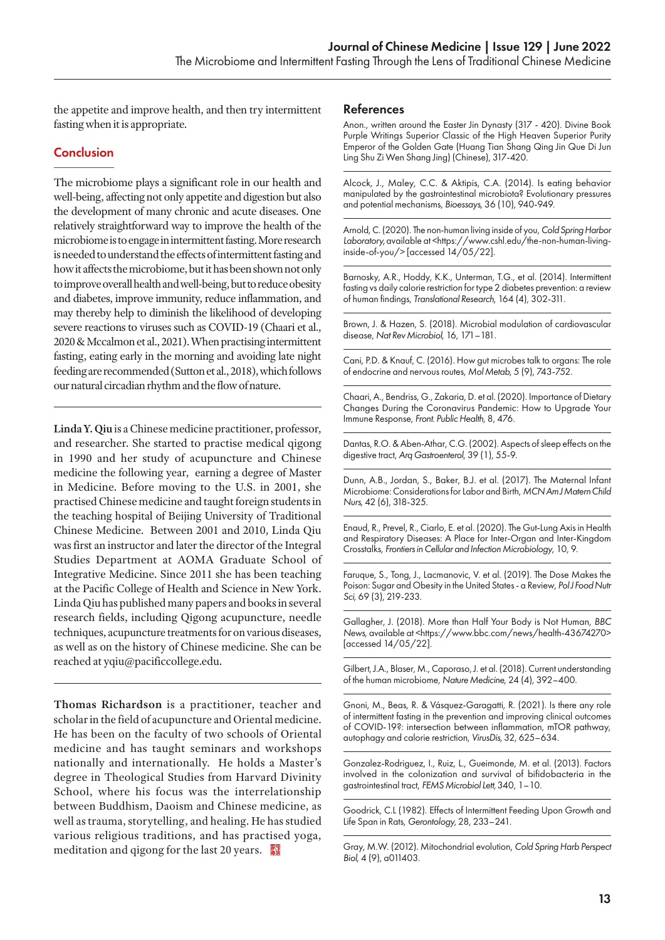the appetite and improve health, and then try intermittent fasting when it is appropriate.

# **Conclusion**

The microbiome plays a significant role in our health and well-being, affecting not only appetite and digestion but also the development of many chronic and acute diseases. One relatively straightforward way to improve the health of the microbiome is to engage in intermittent fasting. More research is needed to understand the effects of intermittent fasting and how it affects the microbiome, but it has been shown not only to improve overall health and well-being, but to reduce obesity and diabetes, improve immunity, reduce inflammation, and may thereby help to diminish the likelihood of developing severe reactions to viruses such as COVID-19 (Chaari et al., 2020 & Mccalmon et al., 2021). When practising intermittent fasting, eating early in the morning and avoiding late night feeding are recommended (Sutton et al., 2018), which follows our natural circadian rhythm and the flow of nature.

**Linda Y. Qiu** is a Chinese medicine practitioner, professor, and researcher. She started to practise medical qigong in 1990 and her study of acupuncture and Chinese medicine the following year, earning a degree of Master in Medicine. Before moving to the U.S. in 2001, she practised Chinese medicine and taught foreign students in the teaching hospital of Beijing University of Traditional Chinese Medicine. Between 2001 and 2010, Linda Qiu was first an instructor and later the director of the Integral Studies Department at AOMA Graduate School of Integrative Medicine. Since 2011 she has been teaching at the Pacific College of Health and Science in New York. Linda Qiu has published many papers and books in several research fields, including Qigong acupuncture, needle techniques, acupuncture treatments for on various diseases, as well as on the history of Chinese medicine. She can be reached at yqiu@pacificcollege.edu.

**Thomas Richardson** is a practitioner, teacher and scholar in the field of acupuncture and Oriental medicine. He has been on the faculty of two schools of Oriental medicine and has taught seminars and workshops nationally and internationally. He holds a Master's degree in Theological Studies from Harvard Divinity School, where his focus was the interrelationship between Buddhism, Daoism and Chinese medicine, as well as trauma, storytelling, and healing. He has studied various religious traditions, and has practised yoga, meditation and qigong for the last 20 years.

#### References

Anon., written around the Easter Jin Dynasty (317 - 420). Divine Book Purple Writings Superior Classic of the High Heaven Superior Purity Emperor of the Golden Gate (Huang Tian Shang Qing Jin Que Di Jun Ling Shu Zi Wen Shang Jing) (Chinese), 317-420.

Alcock, J., Maley, C.C. & Aktipis, C.A. (2014). Is eating behavior manipulated by the gastrointestinal microbiota? Evolutionary pressures and potential mechanisms, *Bioessays*, 36 (10), 940-949.

Arnold, C. (2020). The non-human living inside of you, *Cold Spring Harbor*  Laboratory, available at <https://www.cshl.edu/the-non-human-livinginside-of-you/> [accessed  $14/05/22$ ].

Barnosky, A.R., Hoddy, K.K., Unterman, T.G., et al. (2014). Intermittent fasting vs daily calorie restriction for type 2 diabetes prevention: a review of human findings, *Translational Research*, 164 (4), 302-311.

Brown, J. & Hazen, S. (2018). Microbial modulation of cardiovascular disease, *Nat Rev Microbiol*, 16, 171–181.

Cani, P.D. & Knauf, C. (2016). How gut microbes talk to organs: The role of endocrine and nervous routes, *Mol Metab*, 5 (9), 743-752.

Chaari, A., Bendriss, G., Zakaria, D. et al. (2020). Importance of Dietary Changes During the Coronavirus Pandemic: How to Upgrade Your Immune Response, *Front. Public Health*, 8, 476.

Dantas, R.O. & Aben-Athar, C.G. (2002). Aspects of sleep effects on the digestive tract, *Arq Gastroenterol*, 39 (1), 55-9.

Dunn, A.B., Jordan, S., Baker, B.J. et al. (2017). The Maternal Infant Microbiome: Considerations for Labor and Birth, *MCN Am J Matern Child Nurs*, 42 (6), 318-325.

Enaud, R., Prevel, R., Ciarlo, E. et al. (2020). The Gut-Lung Axis in Health and Respiratory Diseases: A Place for Inter-Organ and Inter-Kingdom Crosstalks, *Frontiers in Cellular and Infection Microbiology*, 10, 9.

Faruque, S., Tong, J., Lacmanovic, V. et al. (2019). The Dose Makes the Poison: Sugar and Obesity in the United States - a Review, *Pol J Food Nutr Sci*, 69 (3), 219-233.

Gallagher, J. (2018). More than Half Your Body is Not Human, *BBC News*, available at <https://www.bbc.com/news/health-43674270> [accessed 14/05/22].

Gilbert, J.A., Blaser, M., Caporaso, J. et al. (2018). Current understanding of the human microbiome, *Nature Medicine*, 24 (4), 392–400.

Gnoni, M., Beas, R. & Vásquez-Garagatti, R. (2021). Is there any role of intermittent fasting in the prevention and improving clinical outcomes of COVID-19?: intersection between inflammation, mTOR pathway, autophagy and calorie restriction, *VirusDis,* 32, 625–634.

Gonzalez-Rodriguez, I., Ruiz, L., Gueimonde, M. et al. (2013). Factors involved in the colonization and survival of bifidobacteria in the gastrointestinal tract, *FEMS Microbiol Lett,* 340, 1–10.

Goodrick, C.L (1982). Effects of Intermittent Feeding Upon Growth and Life Span in Rats, *Gerontology,* 28, 233–241.

Gray, M.W. (2012). Mitochondrial evolution, *Cold Spring Harb Perspect Biol*, 4 (9), a011403.